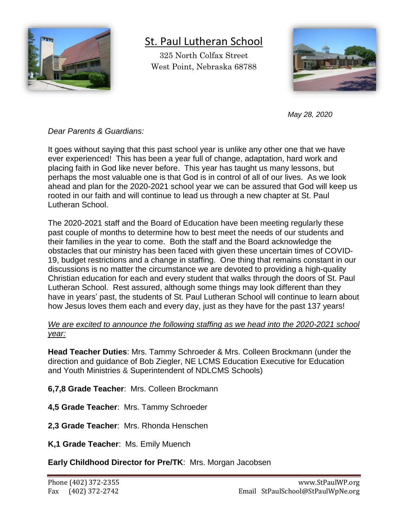

# St. Paul Lutheran School

325 North Colfax Street West Point, Nebraska 68788



*May 28, 2020*

*Dear Parents & Guardians:*

It goes without saying that this past school year is unlike any other one that we have ever experienced! This has been a year full of change, adaptation, hard work and placing faith in God like never before. This year has taught us many lessons, but perhaps the most valuable one is that God is in control of all of our lives. As we look ahead and plan for the 2020-2021 school year we can be assured that God will keep us rooted in our faith and will continue to lead us through a new chapter at St. Paul Lutheran School.

The 2020-2021 staff and the Board of Education have been meeting regularly these past couple of months to determine how to best meet the needs of our students and their families in the year to come. Both the staff and the Board acknowledge the obstacles that our ministry has been faced with given these uncertain times of COVID-19, budget restrictions and a change in staffing. One thing that remains constant in our discussions is no matter the circumstance we are devoted to providing a high-quality Christian education for each and every student that walks through the doors of St. Paul Lutheran School. Rest assured, although some things may look different than they have in years' past, the students of St. Paul Lutheran School will continue to learn about how Jesus loves them each and every day, just as they have for the past 137 years!

#### *We are excited to announce the following staffing as we head into the 2020-2021 school year:*

**Head Teacher Duties**: Mrs. Tammy Schroeder & Mrs. Colleen Brockmann (under the direction and guidance of Bob Ziegler, NE LCMS Education Executive for Education and Youth Ministries & Superintendent of NDLCMS Schools)

**6,7,8 Grade Teacher**: Mrs. Colleen Brockmann

**4,5 Grade Teacher**: Mrs. Tammy Schroeder

**2,3 Grade Teacher**: Mrs. Rhonda Henschen

**K,1 Grade Teacher**: Ms. Emily Muench

**Early Childhood Director for Pre/TK**: Mrs. Morgan Jacobsen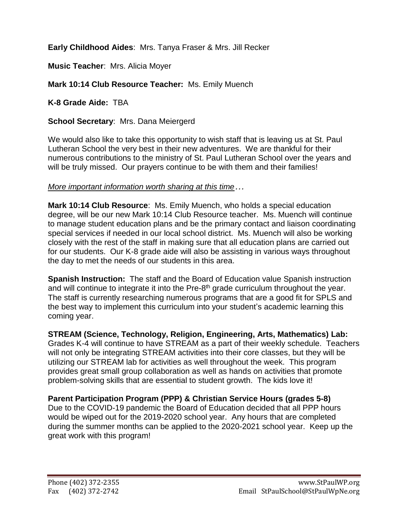**Early Childhood Aides**: Mrs. Tanya Fraser & Mrs. Jill Recker

**Music Teacher**: Mrs. Alicia Moyer

**Mark 10:14 Club Resource Teacher:** Ms. Emily Muench

**K-8 Grade Aide:** TBA

**School Secretary**: Mrs. Dana Meiergerd

We would also like to take this opportunity to wish staff that is leaving us at St. Paul Lutheran School the very best in their new adventures. We are thankful for their numerous contributions to the ministry of St. Paul Lutheran School over the years and will be truly missed. Our prayers continue to be with them and their families!

# *More important information worth sharing at this time…*

**Mark 10:14 Club Resource**: Ms. Emily Muench, who holds a special education degree, will be our new Mark 10:14 Club Resource teacher. Ms. Muench will continue to manage student education plans and be the primary contact and liaison coordinating special services if needed in our local school district. Ms. Muench will also be working closely with the rest of the staff in making sure that all education plans are carried out for our students. Our K-8 grade aide will also be assisting in various ways throughout the day to met the needs of our students in this area.

**Spanish Instruction:** The staff and the Board of Education value Spanish instruction and will continue to integrate it into the Pre-8<sup>th</sup> grade curriculum throughout the year. The staff is currently researching numerous programs that are a good fit for SPLS and the best way to implement this curriculum into your student's academic learning this coming year.

**STREAM (Science, Technology, Religion, Engineering, Arts, Mathematics) Lab:** Grades K-4 will continue to have STREAM as a part of their weekly schedule. Teachers will not only be integrating STREAM activities into their core classes, but they will be utilizing our STREAM lab for activities as well throughout the week. This program provides great small group collaboration as well as hands on activities that promote problem-solving skills that are essential to student growth. The kids love it!

# **Parent Participation Program (PPP) & Christian Service Hours (grades 5-8)**

Due to the COVID-19 pandemic the Board of Education decided that all PPP hours would be wiped out for the 2019-2020 school year. Any hours that are completed during the summer months can be applied to the 2020-2021 school year. Keep up the great work with this program!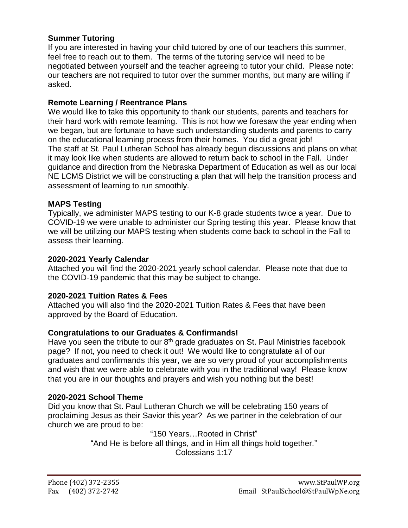## **Summer Tutoring**

If you are interested in having your child tutored by one of our teachers this summer, feel free to reach out to them. The terms of the tutoring service will need to be negotiated between yourself and the teacher agreeing to tutor your child. Please note: our teachers are not required to tutor over the summer months, but many are willing if asked.

#### **Remote Learning / Reentrance Plans**

We would like to take this opportunity to thank our students, parents and teachers for their hard work with remote learning. This is not how we foresaw the year ending when we began, but are fortunate to have such understanding students and parents to carry on the educational learning process from their homes. You did a great job! The staff at St. Paul Lutheran School has already begun discussions and plans on what it may look like when students are allowed to return back to school in the Fall. Under guidance and direction from the Nebraska Department of Education as well as our local NE LCMS District we will be constructing a plan that will help the transition process and assessment of learning to run smoothly.

#### **MAPS Testing**

Typically, we administer MAPS testing to our K-8 grade students twice a year. Due to COVID-19 we were unable to administer our Spring testing this year. Please know that we will be utilizing our MAPS testing when students come back to school in the Fall to assess their learning.

## **2020-2021 Yearly Calendar**

Attached you will find the 2020-2021 yearly school calendar. Please note that due to the COVID-19 pandemic that this may be subject to change.

# **2020-2021 Tuition Rates & Fees**

Attached you will also find the 2020-2021 Tuition Rates & Fees that have been approved by the Board of Education.

# **Congratulations to our Graduates & Confirmands!**

Have you seen the tribute to our  $8<sup>th</sup>$  grade graduates on St. Paul Ministries facebook page? If not, you need to check it out! We would like to congratulate all of our graduates and confirmands this year, we are so very proud of your accomplishments and wish that we were able to celebrate with you in the traditional way! Please know that you are in our thoughts and prayers and wish you nothing but the best!

# **2020-2021 School Theme**

Did you know that St. Paul Lutheran Church we will be celebrating 150 years of proclaiming Jesus as their Savior this year? As we partner in the celebration of our church we are proud to be:

"150 Years…Rooted in Christ" "And He is before all things, and in Him all things hold together." Colossians 1:17